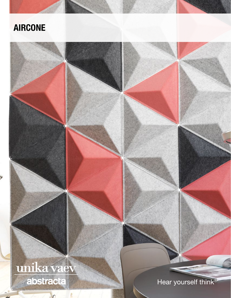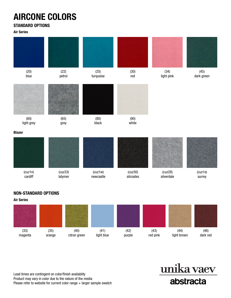# AIRCONE COLORS

### STANDARD OPTIONS

Air Series

| (20)<br>blue       | (22)<br>petrol     | (25)<br>turquoise    | (30)<br>red          | (34)<br>light pink    | (45)<br>dark green |
|--------------------|--------------------|----------------------|----------------------|-----------------------|--------------------|
|                    |                    |                      |                      |                       |                    |
| (60)<br>light grey | (65)<br>grey       | (80)<br>black        | (90)<br>white        |                       |                    |
| <b>Blazer</b>      |                    |                      |                      |                       |                    |
|                    |                    |                      |                      |                       |                    |
| (cuz1n)<br>cardiff | (cuz33)<br>latymer | (cuz1w)<br>newcastle | (cuz30)<br>silcoates | (cuz28)<br>silverdale | (cuz1e)<br>surrey  |

### NON-STANDARD OPTIONS



Lead times are contingent on color/finish availablity Product may vary in color due to the nature of the media Please refer to website for current color range + larger sample swatch

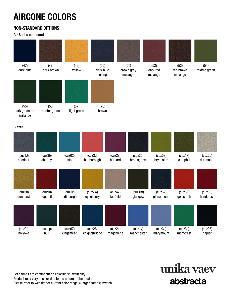# AIRCONE COLORS

### NON-STANDARD OPTIONS

Air Series continued

| (47)<br>dark blue                 | (48)<br>dark brown   | (49)<br>yellow       | (50)<br>dark blue<br>melange |                      | (51)<br>brown grey<br>melange | (52)<br>dark red<br>melange | (53)<br>red brown<br>melange | (54)<br>middle green |
|-----------------------------------|----------------------|----------------------|------------------------------|----------------------|-------------------------------|-----------------------------|------------------------------|----------------------|
|                                   |                      |                      |                              |                      |                               |                             |                              |                      |
| (55)<br>dark green red<br>melange | (56)<br>hunter green | (57)<br>light green  | (70)<br>brown                |                      |                               |                             |                              |                      |
| <b>Blazer</b>                     |                      |                      |                              |                      |                               |                             |                              |                      |
|                                   |                      |                      |                              |                      |                               |                             |                              |                      |
| (cuz1J)<br>aberlour               | (cuz3b)<br>abertay   | (cuz02)<br>aston     | (cuz3d)<br>barlborough       | (cuz2s)<br>barnard   | (cuz35)<br>bromsgrove         | (cuz53)<br>bryanston        | (cuz1k)<br>camphill          | (cuz2q)<br>dartmouth |
|                                   |                      |                      |                              |                      |                               |                             |                              |                      |
| (cuz58)<br>dunhurst               | (cuz90)<br>edge hill | (cuz1y)<br>edinburgh | (cuz2w)<br>eynesbury         | (cuz47)<br>fairfield | (cuz1m)<br>glasgow            | (cuz62)<br>glenalmond       | (cuz39)<br>goldsmith         | (cuz63)<br>handcross |
|                                   |                      |                      |                              |                      |                               |                             |                              |                      |
| (cuz2t)<br>holyoke                | (cuz1p)<br>hull      | (cuz67)<br>kingsmead | (cuz26)<br>knightsbridge     | (cuz21)<br>magdalene | (cuz1v)<br>manchester         | (cuz3c)<br>marymount        | (cuz3a)<br>montcrest         | (cuz08)<br>napier    |

Lead times are contingent on color/finish availablity Product may vary in color due to the nature of the media Please refer to website for current color range + larger sample swatch

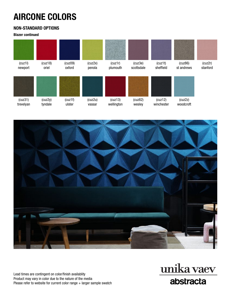# AIRCONE COLORS

### NON-STANDARD OPTIONS

Blazer continued





Lead times are contingent on color/finish availablity Product may vary in color due to the nature of the media Please refer to website for current color range + larger sample swatch